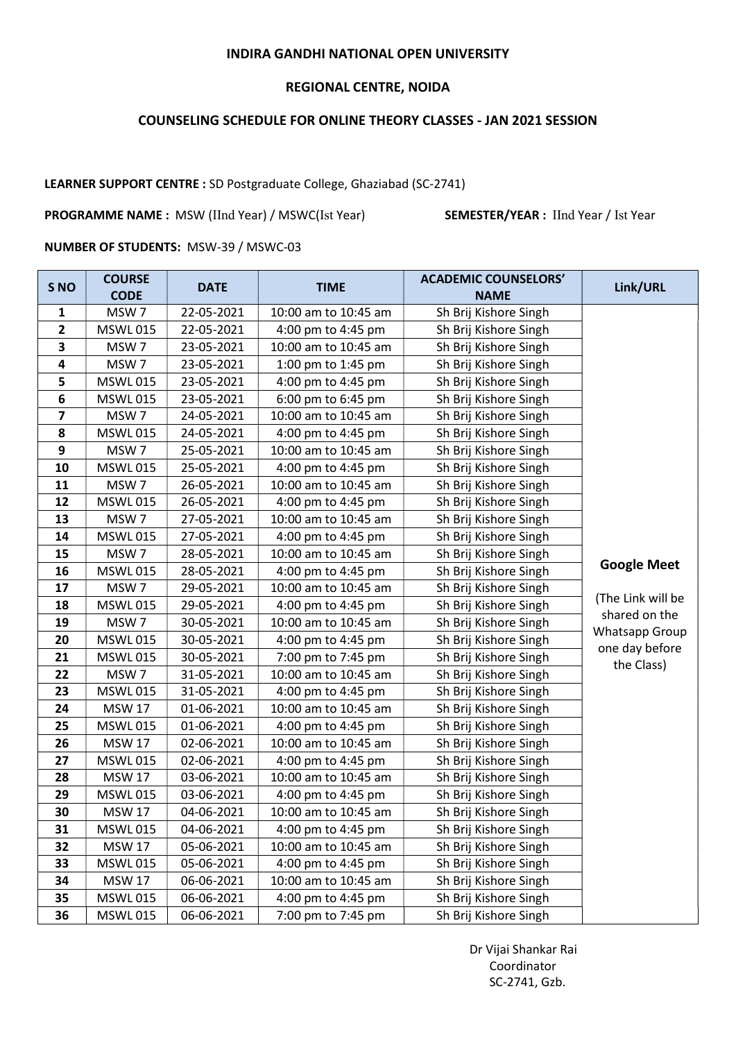### INDIRA GANDHI NATIONAL OPEN UNIVERSITY

### REGIONAL CENTRE, NOIDA

# COUNSELING SCHEDULE FOR ONLINE THEORY CLASSES - JAN 2021 SESSION

## LEARNER SUPPORT CENTRE : SD Postgraduate College, Ghaziabad (SC-2741)

PROGRAMME NAME : MSW (IInd Year) / MSWC(Ist Year) SEMESTER/YEAR : IInd Year / Ist Year

#### NUMBER OF STUDENTS: MSW-39 / MSWC-03

| S <sub>NO</sub>         | <b>COURSE</b><br><b>CODE</b> | <b>DATE</b> | <b>TIME</b>          | <b>ACADEMIC COUNSELORS'</b><br><b>NAME</b> | Link/URL                                                                                     |
|-------------------------|------------------------------|-------------|----------------------|--------------------------------------------|----------------------------------------------------------------------------------------------|
| 1                       | MSW7                         | 22-05-2021  | 10:00 am to 10:45 am | Sh Brij Kishore Singh                      |                                                                                              |
| $\mathbf{2}$            | <b>MSWL015</b>               | 22-05-2021  | 4:00 pm to 4:45 pm   | Sh Brij Kishore Singh                      |                                                                                              |
| 3                       | MSW <sub>7</sub>             | 23-05-2021  | 10:00 am to 10:45 am | Sh Brij Kishore Singh                      |                                                                                              |
| 4                       | MSW7                         | 23-05-2021  | 1:00 pm to 1:45 pm   | Sh Brij Kishore Singh                      |                                                                                              |
| 5                       | <b>MSWL015</b>               | 23-05-2021  | 4:00 pm to 4:45 pm   | Sh Brij Kishore Singh                      |                                                                                              |
| 6                       | <b>MSWL015</b>               | 23-05-2021  | 6:00 pm to 6:45 pm   | Sh Brij Kishore Singh                      |                                                                                              |
| $\overline{\mathbf{z}}$ | MSW <sub>7</sub>             | 24-05-2021  | 10:00 am to 10:45 am | Sh Brij Kishore Singh                      |                                                                                              |
| 8                       | <b>MSWL015</b>               | 24-05-2021  | 4:00 pm to 4:45 pm   | Sh Brij Kishore Singh                      |                                                                                              |
| 9                       | MSW <sub>7</sub>             | 25-05-2021  | 10:00 am to 10:45 am | Sh Brij Kishore Singh                      |                                                                                              |
| 10                      | <b>MSWL015</b>               | 25-05-2021  | 4:00 pm to 4:45 pm   | Sh Brij Kishore Singh                      |                                                                                              |
| 11                      | MSW <sub>7</sub>             | 26-05-2021  | 10:00 am to 10:45 am | Sh Brij Kishore Singh                      |                                                                                              |
| 12                      | <b>MSWL015</b>               | 26-05-2021  | 4:00 pm to 4:45 pm   | Sh Brij Kishore Singh                      |                                                                                              |
| 13                      | MSW <sub>7</sub>             | 27-05-2021  | 10:00 am to 10:45 am | Sh Brij Kishore Singh                      |                                                                                              |
| 14                      | <b>MSWL015</b>               | 27-05-2021  | 4:00 pm to 4:45 pm   | Sh Brij Kishore Singh                      |                                                                                              |
| 15                      | MSW7                         | 28-05-2021  | 10:00 am to 10:45 am | Sh Brij Kishore Singh                      | <b>Google Meet</b><br>(The Link will be<br>shared on the<br>Whatsapp Group<br>one day before |
| 16                      | <b>MSWL015</b>               | 28-05-2021  | 4:00 pm to 4:45 pm   | Sh Brij Kishore Singh                      |                                                                                              |
| 17                      | MSW <sub>7</sub>             | 29-05-2021  | 10:00 am to 10:45 am | Sh Brij Kishore Singh                      |                                                                                              |
| 18                      | <b>MSWL015</b>               | 29-05-2021  | 4:00 pm to 4:45 pm   | Sh Brij Kishore Singh                      |                                                                                              |
| 19                      | MSW <sub>7</sub>             | 30-05-2021  | 10:00 am to 10:45 am | Sh Brij Kishore Singh                      |                                                                                              |
| 20                      | <b>MSWL015</b>               | 30-05-2021  | 4:00 pm to 4:45 pm   | Sh Brij Kishore Singh                      |                                                                                              |
| 21                      | <b>MSWL015</b>               | 30-05-2021  | 7:00 pm to 7:45 pm   | Sh Brij Kishore Singh                      | the Class)                                                                                   |
| 22                      | MSW <sub>7</sub>             | 31-05-2021  | 10:00 am to 10:45 am | Sh Brij Kishore Singh                      |                                                                                              |
| 23                      | <b>MSWL015</b>               | 31-05-2021  | 4:00 pm to 4:45 pm   | Sh Brij Kishore Singh                      |                                                                                              |
| 24                      | <b>MSW 17</b>                | 01-06-2021  | 10:00 am to 10:45 am | Sh Brij Kishore Singh                      |                                                                                              |
| 25                      | <b>MSWL015</b>               | 01-06-2021  | 4:00 pm to 4:45 pm   | Sh Brij Kishore Singh                      |                                                                                              |
| 26                      | <b>MSW 17</b>                | 02-06-2021  | 10:00 am to 10:45 am | Sh Brij Kishore Singh                      |                                                                                              |
| 27                      | <b>MSWL015</b>               | 02-06-2021  | 4:00 pm to 4:45 pm   | Sh Brij Kishore Singh                      |                                                                                              |
| 28                      | <b>MSW 17</b>                | 03-06-2021  | 10:00 am to 10:45 am | Sh Brij Kishore Singh                      |                                                                                              |
| 29                      | <b>MSWL015</b>               | 03-06-2021  | 4:00 pm to 4:45 pm   | Sh Brij Kishore Singh                      |                                                                                              |
| 30                      | <b>MSW 17</b>                | 04-06-2021  | 10:00 am to 10:45 am | Sh Brij Kishore Singh                      |                                                                                              |
| 31                      | <b>MSWL015</b>               | 04-06-2021  | 4:00 pm to 4:45 pm   | Sh Brij Kishore Singh                      |                                                                                              |
| 32                      | <b>MSW 17</b>                | 05-06-2021  | 10:00 am to 10:45 am | Sh Brij Kishore Singh                      |                                                                                              |
| 33                      | <b>MSWL 015</b>              | 05-06-2021  | 4:00 pm to 4:45 pm   | Sh Brij Kishore Singh                      |                                                                                              |
| 34                      | <b>MSW 17</b>                | 06-06-2021  | 10:00 am to 10:45 am | Sh Brij Kishore Singh                      |                                                                                              |
| 35                      | <b>MSWL015</b>               | 06-06-2021  | 4:00 pm to 4:45 pm   | Sh Brij Kishore Singh                      |                                                                                              |
| 36                      | <b>MSWL015</b>               | 06-06-2021  | 7:00 pm to 7:45 pm   | Sh Brij Kishore Singh                      |                                                                                              |

 Dr Vijai Shankar Rai Coordinator SC-2741, Gzb.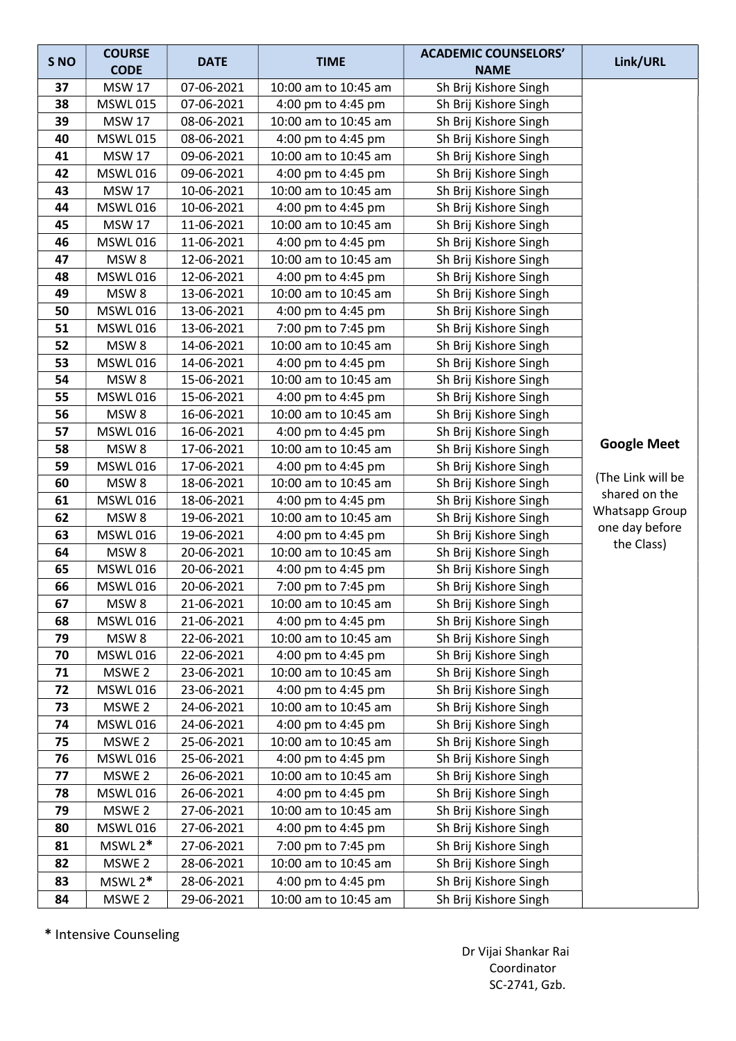| S <sub>NO</sub> | <b>COURSE</b>                      | <b>DATE</b>              | <b>TIME</b>                                | <b>ACADEMIC COUNSELORS'</b>                    | Link/URL           |
|-----------------|------------------------------------|--------------------------|--------------------------------------------|------------------------------------------------|--------------------|
|                 | <b>CODE</b>                        |                          |                                            | <b>NAME</b>                                    |                    |
| 37              | <b>MSW 17</b>                      | 07-06-2021               | 10:00 am to 10:45 am                       | Sh Brij Kishore Singh                          |                    |
| 38              | <b>MSWL015</b>                     | 07-06-2021               | 4:00 pm to 4:45 pm                         | Sh Brij Kishore Singh                          |                    |
| 39              | <b>MSW 17</b>                      | 08-06-2021               | 10:00 am to 10:45 am                       | Sh Brij Kishore Singh                          |                    |
| 40              | <b>MSWL015</b>                     | 08-06-2021               | 4:00 pm to 4:45 pm                         | Sh Brij Kishore Singh                          |                    |
| 41              | <b>MSW 17</b>                      | 09-06-2021               | 10:00 am to 10:45 am                       | Sh Brij Kishore Singh                          |                    |
| 42              | <b>MSWL016</b>                     | 09-06-2021               | 4:00 pm to 4:45 pm                         | Sh Brij Kishore Singh                          |                    |
| 43              | <b>MSW 17</b>                      | 10-06-2021               | 10:00 am to 10:45 am                       | Sh Brij Kishore Singh                          |                    |
| 44              | <b>MSWL016</b>                     | 10-06-2021               | 4:00 pm to 4:45 pm                         | Sh Brij Kishore Singh                          |                    |
| 45              | <b>MSW 17</b>                      | 11-06-2021               | 10:00 am to 10:45 am                       | Sh Brij Kishore Singh                          |                    |
| 46              | <b>MSWL016</b>                     | 11-06-2021               | 4:00 pm to 4:45 pm                         | Sh Brij Kishore Singh                          |                    |
| 47              | MSW <sub>8</sub>                   | 12-06-2021               | 10:00 am to 10:45 am                       | Sh Brij Kishore Singh                          |                    |
| 48              | <b>MSWL016</b>                     | 12-06-2021               | 4:00 pm to 4:45 pm                         | Sh Brij Kishore Singh                          |                    |
| 49              | MSW <sub>8</sub>                   | 13-06-2021               | 10:00 am to 10:45 am                       | Sh Brij Kishore Singh                          |                    |
| 50              | <b>MSWL016</b>                     | 13-06-2021               | 4:00 pm to 4:45 pm                         | Sh Brij Kishore Singh                          |                    |
| 51              | <b>MSWL016</b>                     | 13-06-2021               | 7:00 pm to 7:45 pm                         | Sh Brij Kishore Singh                          |                    |
| 52              | MSW <sub>8</sub>                   | 14-06-2021               | 10:00 am to 10:45 am                       | Sh Brij Kishore Singh                          |                    |
| 53              | <b>MSWL016</b>                     | 14-06-2021               | 4:00 pm to 4:45 pm                         | Sh Brij Kishore Singh                          |                    |
| 54              | MSW <sub>8</sub>                   | 15-06-2021               | 10:00 am to 10:45 am                       | Sh Brij Kishore Singh                          |                    |
| 55              | <b>MSWL016</b>                     | 15-06-2021               | 4:00 pm to 4:45 pm                         | Sh Brij Kishore Singh                          |                    |
| 56              | MSW <sub>8</sub>                   | 16-06-2021               | 10:00 am to 10:45 am                       | Sh Brij Kishore Singh                          |                    |
| 57              | <b>MSWL016</b>                     | 16-06-2021               | 4:00 pm to 4:45 pm                         | Sh Brij Kishore Singh                          | <b>Google Meet</b> |
| 58              | MSW <sub>8</sub>                   | 17-06-2021               | 10:00 am to 10:45 am                       | Sh Brij Kishore Singh                          |                    |
| 59              | <b>MSWL016</b>                     | 17-06-2021               | 4:00 pm to 4:45 pm                         | Sh Brij Kishore Singh                          | (The Link will be  |
| 60              | MSW <sub>8</sub>                   | 18-06-2021               | 10:00 am to 10:45 am                       | Sh Brij Kishore Singh                          | shared on the      |
| 61              | <b>MSWL016</b>                     | 18-06-2021               | 4:00 pm to 4:45 pm                         | Sh Brij Kishore Singh                          | Whatsapp Group     |
| 62              | MSW <sub>8</sub>                   | 19-06-2021               | 10:00 am to 10:45 am                       | Sh Brij Kishore Singh                          | one day before     |
| 63              | <b>MSWL016</b>                     | 19-06-2021               | 4:00 pm to 4:45 pm                         | Sh Brij Kishore Singh                          | the Class)         |
| 64<br>65        | MSW <sub>8</sub><br><b>MSWL016</b> | 20-06-2021<br>20-06-2021 | 10:00 am to 10:45 am<br>4:00 pm to 4:45 pm | Sh Brij Kishore Singh                          |                    |
| 66              | <b>MSWL016</b>                     | 20-06-2021               | 7:00 pm to 7:45 pm                         | Sh Brij Kishore Singh<br>Sh Brij Kishore Singh |                    |
|                 |                                    |                          |                                            | Sh Brij Kishore Singh                          |                    |
| 67<br>68        | MSW 8<br><b>MSWL016</b>            | 21-06-2021<br>21-06-2021 | 10:00 am to 10:45 am<br>4:00 pm to 4:45 pm | Sh Brij Kishore Singh                          |                    |
| 79              | MSW <sub>8</sub>                   | 22-06-2021               | 10:00 am to 10:45 am                       | Sh Brij Kishore Singh                          |                    |
| 70              | <b>MSWL016</b>                     | 22-06-2021               | 4:00 pm to 4:45 pm                         | Sh Brij Kishore Singh                          |                    |
| 71              | MSWE 2                             | 23-06-2021               | 10:00 am to 10:45 am                       | Sh Brij Kishore Singh                          |                    |
| 72              | <b>MSWL016</b>                     | 23-06-2021               | 4:00 pm to 4:45 pm                         | Sh Brij Kishore Singh                          |                    |
| 73              | MSWE <sub>2</sub>                  | 24-06-2021               | 10:00 am to 10:45 am                       | Sh Brij Kishore Singh                          |                    |
| 74              | <b>MSWL016</b>                     | 24-06-2021               | 4:00 pm to 4:45 pm                         | Sh Brij Kishore Singh                          |                    |
| 75              | MSWE 2                             | 25-06-2021               | 10:00 am to 10:45 am                       | Sh Brij Kishore Singh                          |                    |
| 76              | <b>MSWL016</b>                     | 25-06-2021               | 4:00 pm to 4:45 pm                         | Sh Brij Kishore Singh                          |                    |
| 77              | MSWE 2                             | 26-06-2021               | 10:00 am to 10:45 am                       | Sh Brij Kishore Singh                          |                    |
| 78              | <b>MSWL016</b>                     | 26-06-2021               | 4:00 pm to 4:45 pm                         | Sh Brij Kishore Singh                          |                    |
| 79              | MSWE 2                             | 27-06-2021               | 10:00 am to 10:45 am                       | Sh Brij Kishore Singh                          |                    |
| 80              | <b>MSWL016</b>                     | 27-06-2021               | 4:00 pm to 4:45 pm                         | Sh Brij Kishore Singh                          |                    |
| 81              | $MSWL2*$                           | 27-06-2021               | 7:00 pm to 7:45 pm                         | Sh Brij Kishore Singh                          |                    |
| 82              | MSWE 2                             | 28-06-2021               | 10:00 am to 10:45 am                       | Sh Brij Kishore Singh                          |                    |
| 83              | $MSWL2*$                           | 28-06-2021               | 4:00 pm to 4:45 pm                         | Sh Brij Kishore Singh                          |                    |
| 84              | MSWE 2                             | 29-06-2021               | 10:00 am to 10:45 am                       | Sh Brij Kishore Singh                          |                    |

\* Intensive Counseling

 Dr Vijai Shankar Rai Coordinator SC-2741, Gzb.